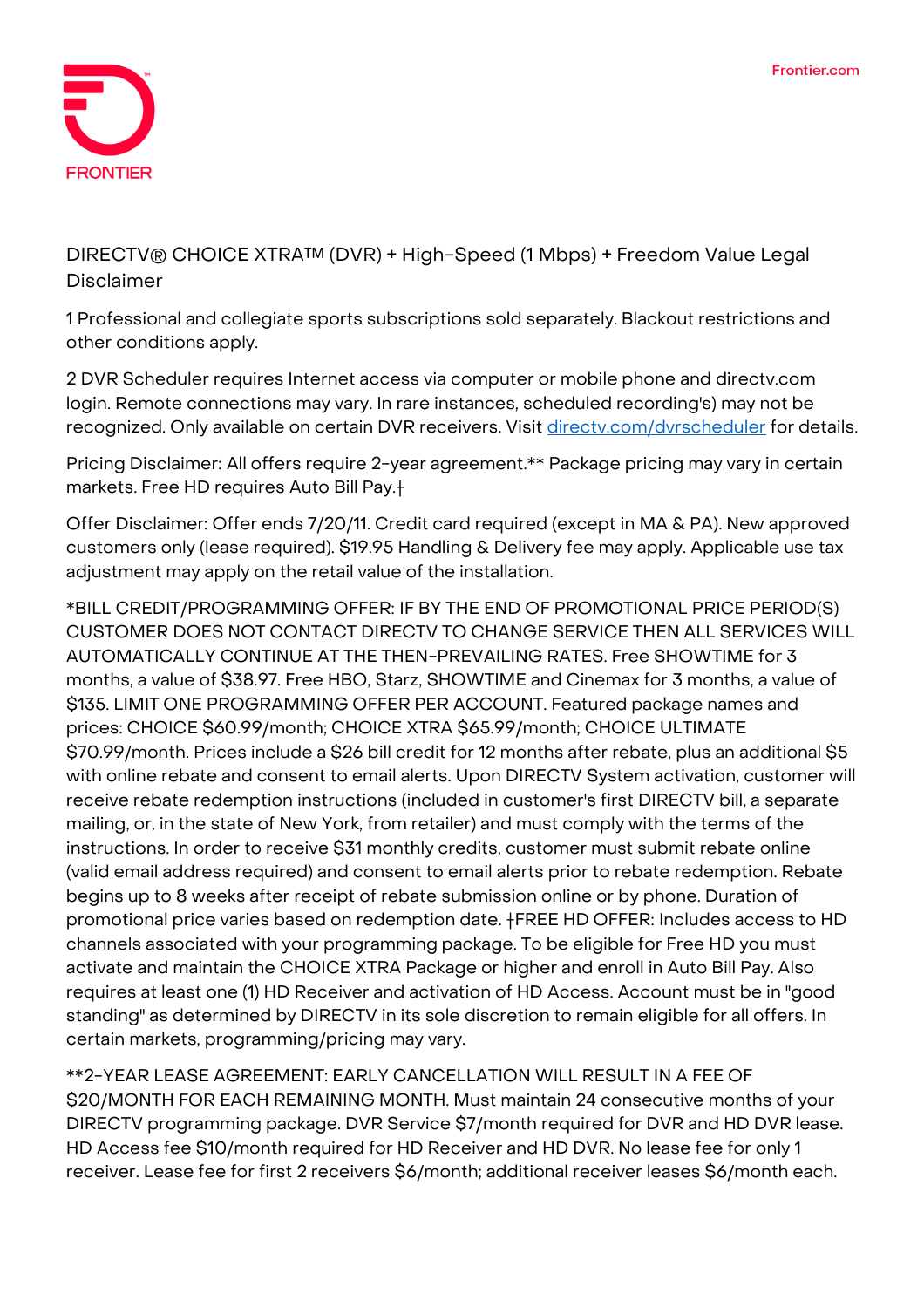

**DIRECTV® CHOICE XTRA™ (DVR) + High-Speed (1 Mbps) + Freedom Value Legal Disclaimer**

1 Professional and collegiate sports subscriptions sold separately. Blackout restrictions and other conditions apply.

2 DVR Scheduler requires Internet access via computer or mobile phone and directv.com login. Remote connections may vary. In rare instances, scheduled recording's) may not be recognized. Only available on certain DVR receivers. Visit directy.com/dvrscheduler for details.

**Pricing Disclaimer:** All offers require 2-year agreement.\*\* Package pricing may vary in certain markets. Free HD requires Auto Bill Pay.†

**Offer Disclaimer:** Offer ends 7/20/11. Credit card required (except in MA & PA). New approved customers only (lease required). \$19.95 Handling & Delivery fee may apply. Applicable use tax adjustment may apply on the retail value of the installation.

**\*BILL CREDIT/PROGRAMMING OFFER:** IF BY THE END OF PROMOTIONAL PRICE PERIOD(S) CUSTOMER DOES NOT CONTACT DIRECTV TO CHANGE SERVICE THEN ALL SERVICES WILL AUTOMATICALLY CONTINUE AT THE THEN-PREVAILING RATES. Free SHOWTIME for 3 months, a value of \$38.97. Free HBO, Starz, SHOWTIME and Cinemax for 3 months, a value of \$135. LIMIT ONE PROGRAMMING OFFER PER ACCOUNT. Featured package names and prices: CHOICE \$60.99/month; CHOICE XTRA \$65.99/month; CHOICE ULTIMATE \$70.99/month. Prices include a \$26 bill credit for 12 months after rebate, plus an additional \$5 with online rebate and consent to email alerts. Upon DIRECTV System activation, customer will receive rebate redemption instructions (included in customer's first DIRECTV bill, a separate mailing, or, in the state of New York, from retailer) and must comply with the terms of the instructions. In order to receive \$31 monthly credits, customer must submit rebate online (valid email address required) and consent to email alerts prior to rebate redemption. Rebate begins up to 8 weeks after receipt of rebate submission online or by phone. Duration of promotional price varies based on redemption date. **†FREE HD OFFER:** Includes access to HD channels associated with your programming package. To be eligible for Free HD you must activate and maintain the CHOICE XTRA Package or higher and enroll in Auto Bill Pay. Also requires at least one (1) HD Receiver and activation of HD Access. Account must be in "good standing" as determined by DIRECTV in its sole discretion to remain eligible for all offers. In certain markets, programming/pricing may vary.

**\*\*2-YEAR LEASE AGREEMENT:** EARLY CANCELLATION WILL RESULT IN A FEE OF \$20/MONTH FOR EACH REMAINING MONTH. Must maintain 24 consecutive months of your DIRECTV programming package. DVR Service \$7/month required for DVR and HD DVR lease. HD Access fee \$10/month required for HD Receiver and HD DVR. No lease fee for only 1 receiver. Lease fee for first 2 receivers \$6/month; additional receiver leases \$6/month each.